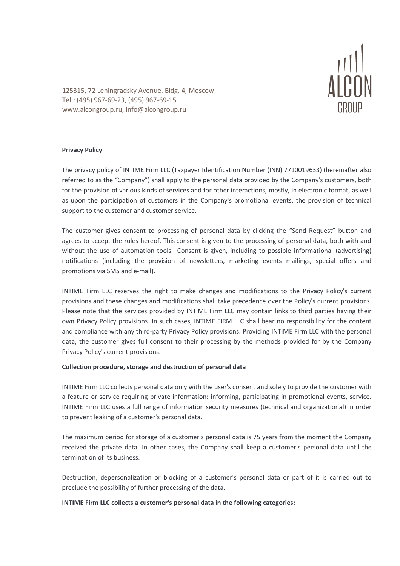

125315, 72 Leningradsky Avenue, Bldg. 4, Moscow Tel.: (495) 967-69-23, (495) 967-69-15 www.alcongroup.ru, info@alcongroup.ru

# **Privacy Policy**

The privacy policy of INTIME Firm LLC (Taxpayer Identification Number (INN) 7710019633) (hereinafter also referred to as the "Company") shall apply to the personal data provided by the Company's customers, both for the provision of various kinds of services and for other interactions, mostly, in electronic format, as well as upon the participation of customers in the Company's promotional events, the provision of technical support to the customer and customer service.

The customer gives consent to processing of personal data by clicking the "Send Request" button and agrees to accept the rules hereof. This consent is given to the processing of personal data, both with and without the use of automation tools. Consent is given, including to possible informational (advertising) notifications (including the provision of newsletters, marketing events mailings, special offers and promotions via SMS and e-mail).

INTIME Firm LLC reserves the right to make changes and modifications to the Privacy Policy's current provisions and these changes and modifications shall take precedence over the Policy's current provisions. Please note that the services provided by INTIME Firm LLC may contain links to third parties having their own Privacy Policy provisions. In such cases, INTIME FIRM LLC shall bear no responsibility for the content and compliance with any third-party Privacy Policy provisions. Providing INTIME Firm LLC with the personal data, the customer gives full consent to their processing by the methods provided for by the Company Privacy Policy's current provisions.

# **Collection procedure, storage and destruction of personal data**

INTIME Firm LLC collects personal data only with the user's consent and solely to provide the customer with a feature or service requiring private information: informing, participating in promotional events, service. INTIME Firm LLC uses a full range of information security measures (technical and organizational) in order to prevent leaking of a customer's personal data.

The maximum period for storage of a customer's personal data is 75 years from the moment the Company received the private data. In other cases, the Company shall keep a customer's personal data until the termination of its business.

Destruction, depersonalization or blocking of a customer's personal data or part of it is carried out to preclude the possibility of further processing of the data.

# **INTIME Firm LLC collects a customer's personal data in the following categories:**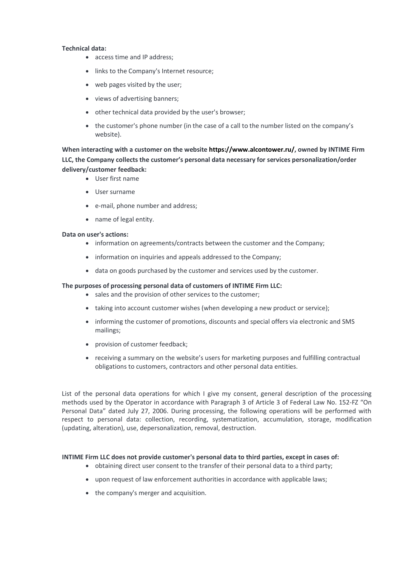#### **Technical data:**

- access time and IP address;
- links to the Company's Internet resource;
- web pages visited by the user;
- views of advertising banners;
- other technical data provided by the user's browser;
- the customer's phone number (in the case of a call to the number listed on the company's website).

**When interacting with a customer on the website https://www.alcontower.ru/, owned by INTIME Firm LLC, the Company collects the customer's personal data necessary for services personalization/order delivery/customer feedback:**

- User first name
- User surname
- e-mail, phone number and address;
- name of legal entity.

#### **Data on user's actions:**

- information on agreements/contracts between the customer and the Company;
- information on inquiries and appeals addressed to the Company;
- data on goods purchased by the customer and services used by the customer.

#### **The purposes of processing personal data of customers of INTIME Firm LLC:**

- sales and the provision of other services to the customer;
- taking into account customer wishes (when developing a new product or service);
- informing the customer of promotions, discounts and special offers via electronic and SMS mailings;
- provision of customer feedback;
- receiving a summary on the website's users for marketing purposes and fulfilling contractual obligations to customers, contractors and other personal data entities.

List of the personal data operations for which I give my consent, general description of the processing methods used by the Operator in accordance with Paragraph 3 of Article 3 of Federal Law No. 152-FZ "On Personal Data" dated July 27, 2006. During processing, the following operations will be performed with respect to personal data: collection, recording, systematization, accumulation, storage, modification (updating, alteration), use, depersonalization, removal, destruction.

#### **INTIME Firm LLC does not provide customer's personal data to third parties, except in cases of:**

- obtaining direct user consent to the transfer of their personal data to a third party;
- upon request of law enforcement authorities in accordance with applicable laws;
- the company's merger and acquisition.